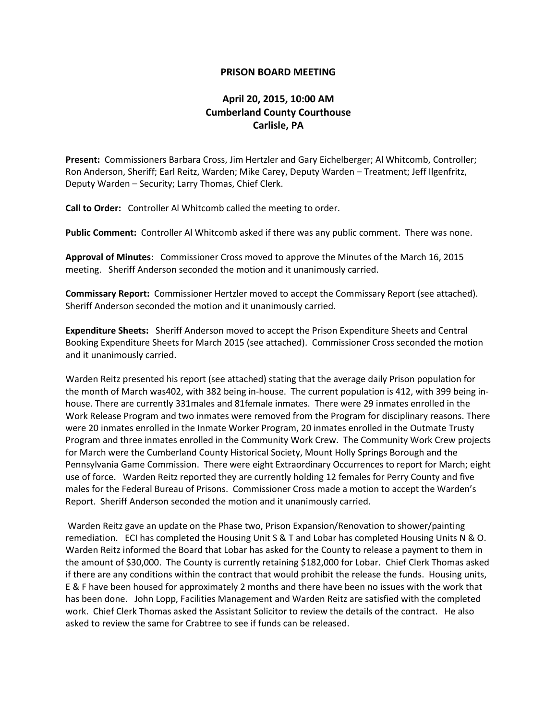## **PRISON BOARD MEETING**

## **April 20, 2015, 10:00 AM Cumberland County Courthouse Carlisle, PA**

**Present:** Commissioners Barbara Cross, Jim Hertzler and Gary Eichelberger; Al Whitcomb, Controller; Ron Anderson, Sheriff; Earl Reitz, Warden; Mike Carey, Deputy Warden – Treatment; Jeff Ilgenfritz, Deputy Warden – Security; Larry Thomas, Chief Clerk.

**Call to Order:** Controller Al Whitcomb called the meeting to order.

**Public Comment:** Controller Al Whitcomb asked if there was any public comment. There was none.

**Approval of Minutes**: Commissioner Cross moved to approve the Minutes of the March 16, 2015 meeting. Sheriff Anderson seconded the motion and it unanimously carried.

**Commissary Report:** Commissioner Hertzler moved to accept the Commissary Report (see attached). Sheriff Anderson seconded the motion and it unanimously carried.

**Expenditure Sheets:** Sheriff Anderson moved to accept the Prison Expenditure Sheets and Central Booking Expenditure Sheets for March 2015 (see attached). Commissioner Cross seconded the motion and it unanimously carried.

Warden Reitz presented his report (see attached) stating that the average daily Prison population for the month of March was402, with 382 being in-house. The current population is 412, with 399 being inhouse. There are currently 331males and 81female inmates. There were 29 inmates enrolled in the Work Release Program and two inmates were removed from the Program for disciplinary reasons. There were 20 inmates enrolled in the Inmate Worker Program, 20 inmates enrolled in the Outmate Trusty Program and three inmates enrolled in the Community Work Crew. The Community Work Crew projects for March were the Cumberland County Historical Society, Mount Holly Springs Borough and the Pennsylvania Game Commission. There were eight Extraordinary Occurrences to report for March; eight use of force. Warden Reitz reported they are currently holding 12 females for Perry County and five males for the Federal Bureau of Prisons. Commissioner Cross made a motion to accept the Warden's Report. Sheriff Anderson seconded the motion and it unanimously carried.

Warden Reitz gave an update on the Phase two, Prison Expansion/Renovation to shower/painting remediation. ECI has completed the Housing Unit S & T and Lobar has completed Housing Units N & O. Warden Reitz informed the Board that Lobar has asked for the County to release a payment to them in the amount of \$30,000. The County is currently retaining \$182,000 for Lobar. Chief Clerk Thomas asked if there are any conditions within the contract that would prohibit the release the funds. Housing units, E & F have been housed for approximately 2 months and there have been no issues with the work that has been done. John Lopp, Facilities Management and Warden Reitz are satisfied with the completed work. Chief Clerk Thomas asked the Assistant Solicitor to review the details of the contract. He also asked to review the same for Crabtree to see if funds can be released.